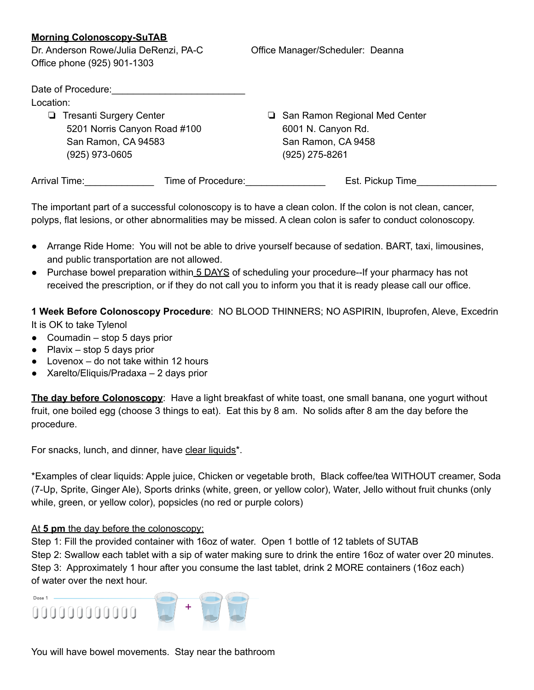## **Morning Colonoscopy-SuTAB**

Dr. Anderson Rowe/Julia DeRenzi, PA-C Qffice Manager/Scheduler: Deanna Office phone (925) 901-1303

| Date of Procedure:             |                    |                                 |
|--------------------------------|--------------------|---------------------------------|
| Location:                      |                    |                                 |
| <b>Tresanti Surgery Center</b> |                    | □ San Ramon Regional Med Center |
| 5201 Norris Canyon Road #100   |                    | 6001 N. Canyon Rd.              |
| San Ramon, CA 94583            |                    | San Ramon, CA 9458              |
| (925) 973-0605                 |                    | $(925)$ 275-8261                |
| Arrival Time:                  | Time of Procedure: | Est. Pickup Time                |

The important part of a successful colonoscopy is to have a clean colon. If the colon is not clean, cancer, polyps, flat lesions, or other abnormalities may be missed. A clean colon is safer to conduct colonoscopy.

- Arrange Ride Home: You will not be able to drive yourself because of sedation. BART, taxi, limousines, and public transportation are not allowed.
- Purchase bowel preparation within 5 DAYS of scheduling your procedure--If your pharmacy has not received the prescription, or if they do not call you to inform you that it is ready please call our office.

**1 Week Before Colonoscopy Procedure**: NO BLOOD THINNERS; NO ASPIRIN, Ibuprofen, Aleve, Excedrin It is OK to take Tylenol

- $\bullet$  Coumadin stop 5 days prior
- $\bullet$  Plavix stop 5 days prior
- Lovenox do not take within 12 hours
- Xarelto/Eliquis/Pradaxa 2 days prior

**The day before Colonoscopy**: Have a light breakfast of white toast, one small banana, one yogurt without fruit, one boiled egg (choose 3 things to eat). Eat this by 8 am. No solids after 8 am the day before the procedure.

For snacks, lunch, and dinner, have clear liquids\*.

\*Examples of clear liquids: Apple juice, Chicken or vegetable broth, Black coffee/tea WITHOUT creamer, Soda (7-Up, Sprite, Ginger Ale), Sports drinks (white, green, or yellow color), Water, Jello without fruit chunks (only while, green, or yellow color), popsicles (no red or purple colors)

## At **5 pm** the day before the colonoscopy:

Step 1: Fill the provided container with 16oz of water. Open 1 bottle of 12 tablets of SUTAB Step 2: Swallow each tablet with a sip of water making sure to drink the entire 16oz of water over 20 minutes. Step 3: Approximately 1 hour after you consume the last tablet, drink 2 MORE containers (16oz each) of water over the next hour.



You will have bowel movements. Stay near the bathroom